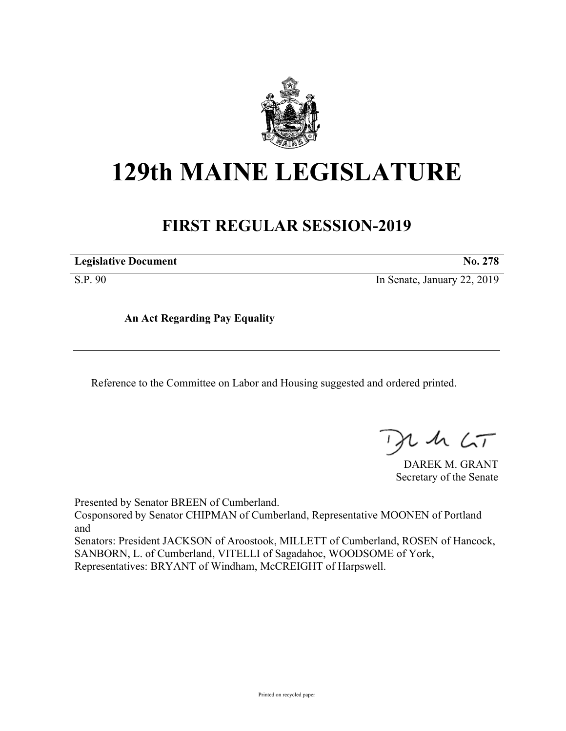

# **129th MAINE LEGISLATURE**

## **FIRST REGULAR SESSION-2019**

**Legislative Document No. 278**

S.P. 90 In Senate, January 22, 2019

**An Act Regarding Pay Equality**

Reference to the Committee on Labor and Housing suggested and ordered printed.

, in  $\zeta$ T

DAREK M. GRANT Secretary of the Senate

Presented by Senator BREEN of Cumberland.

Cosponsored by Senator CHIPMAN of Cumberland, Representative MOONEN of Portland and

Senators: President JACKSON of Aroostook, MILLETT of Cumberland, ROSEN of Hancock, SANBORN, L. of Cumberland, VITELLI of Sagadahoc, WOODSOME of York, Representatives: BRYANT of Windham, McCREIGHT of Harpswell.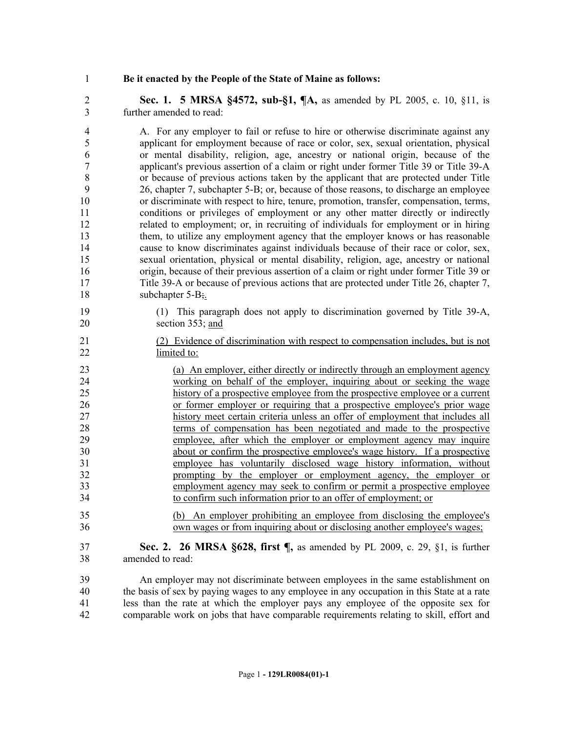### **Be it enacted by the People of the State of Maine as follows:**

 **Sec. 1. 5 MRSA §4572, sub-§1, ¶A,** as amended by PL 2005, c. 10, §11, is further amended to read:

 A. For any employer to fail or refuse to hire or otherwise discriminate against any applicant for employment because of race or color, sex, sexual orientation, physical or mental disability, religion, age, ancestry or national origin, because of the applicant's previous assertion of a claim or right under former Title 39 or Title 39-A or because of previous actions taken by the applicant that are protected under Title 26, chapter 7, subchapter 5-B; or, because of those reasons, to discharge an employee or discriminate with respect to hire, tenure, promotion, transfer, compensation, terms, conditions or privileges of employment or any other matter directly or indirectly related to employment; or, in recruiting of individuals for employment or in hiring them, to utilize any employment agency that the employer knows or has reasonable cause to know discriminates against individuals because of their race or color, sex, sexual orientation, physical or mental disability, religion, age, ancestry or national origin, because of their previous assertion of a claim or right under former Title 39 or Title 39-A or because of previous actions that are protected under Title 26, chapter 7, 18 subchapter 5-B;

- (1) This paragraph does not apply to discrimination governed by Title 39-A, section 353; and
- (2) Evidence of discrimination with respect to compensation includes, but is not limited to:

 (a) An employer, either directly or indirectly through an employment agency working on behalf of the employer, inquiring about or seeking the wage history of a prospective employee from the prospective employee or a current or former employer or requiring that a prospective employee's prior wage history meet certain criteria unless an offer of employment that includes all terms of compensation has been negotiated and made to the prospective 29 employee, after which the employer or employment agency may inquire about or confirm the prospective employee's wage history. If a prospective employee has voluntarily disclosed wage history information, without prompting by the employer or employment agency, the employer or employment agency may seek to confirm or permit a prospective employee to confirm such information prior to an offer of employment; or

 (b) An employer prohibiting an employee from disclosing the employee's own wages or from inquiring about or disclosing another employee's wages;

 **Sec. 2. 26 MRSA §628, first ¶,** as amended by PL 2009, c. 29, §1, is further amended to read:

 An employer may not discriminate between employees in the same establishment on the basis of sex by paying wages to any employee in any occupation in this State at a rate less than the rate at which the employer pays any employee of the opposite sex for comparable work on jobs that have comparable requirements relating to skill, effort and